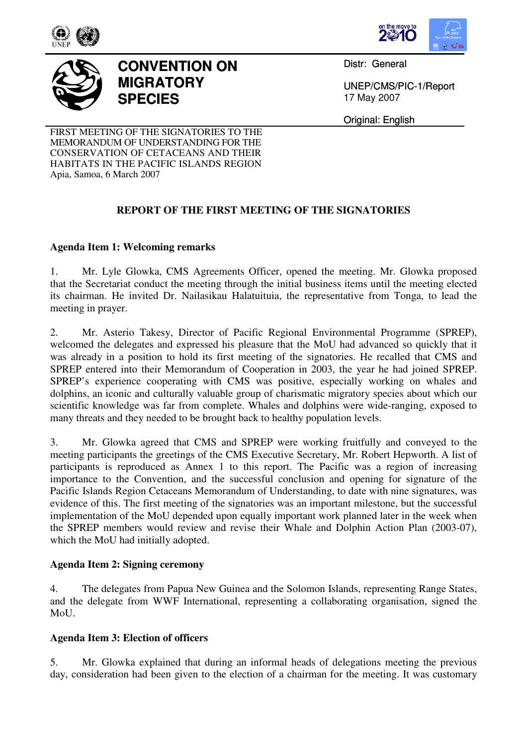





## **CONVENTION ON MIGRATORY SPECIES**

Distr: General

UNEP/CMS/PIC-1/Report 17 May 2007

Original: English

FIRST MEETING OF THE SIGNATORIES TO THE MEMORANDUM OF UNDERSTANDING FOR THE CONSERVATION OF CETACEANS AND THEIR HABITATS IN THE PACIFIC ISLANDS REGION Apia, Samoa, 6 March 2007

## **REPORT OF THE FIRST MEETING OF THE SIGNATORIES**

## **Agenda Item 1: Welcoming remarks**

1. Mr. Lyle Glowka, CMS Agreements Officer, opened the meeting. Mr. Glowka proposed that the Secretariat conduct the meeting through the initial business items until the meeting elected its chairman. He invited Dr. Nailasikau Halatuituia, the representative from Tonga, to lead the meeting in prayer.

2. Mr. Asterio Takesy, Director of Pacific Regional Environmental Programme (SPREP), welcomed the delegates and expressed his pleasure that the MoU had advanced so quickly that it was already in a position to hold its first meeting of the signatories. He recalled that CMS and SPREP entered into their Memorandum of Cooperation in 2003, the year he had joined SPREP. SPREP's experience cooperating with CMS was positive, especially working on whales and dolphins, an iconic and culturally valuable group of charismatic migratory species about which our scientific knowledge was far from complete. Whales and dolphins were wide-ranging, exposed to many threats and they needed to be brought back to healthy population levels.

3. Mr. Glowka agreed that CMS and SPREP were working fruitfully and conveyed to the meeting participants the greetings of the CMS Executive Secretary, Mr. Robert Hepworth. A list of participants is reproduced as Annex 1 to this report. The Pacific was a region of increasing importance to the Convention, and the successful conclusion and opening for signature of the Pacific Islands Region Cetaceans Memorandum of Understanding, to date with nine signatures, was evidence of this. The first meeting of the signatories was an important milestone, but the successful implementation of the MoU depended upon equally important work planned later in the week when the SPREP members would review and revise their Whale and Dolphin Action Plan (2003-07), which the MoU had initially adopted.

## **Agenda Item 2: Signing ceremony**

4. The delegates from Papua New Guinea and the Solomon Islands, representing Range States, and the delegate from WWF International, representing a collaborating organisation, signed the MoU.

## **Agenda Item 3: Election of officers**

5. Mr. Glowka explained that during an informal heads of delegations meeting the previous day, consideration had been given to the election of a chairman for the meeting. It was customary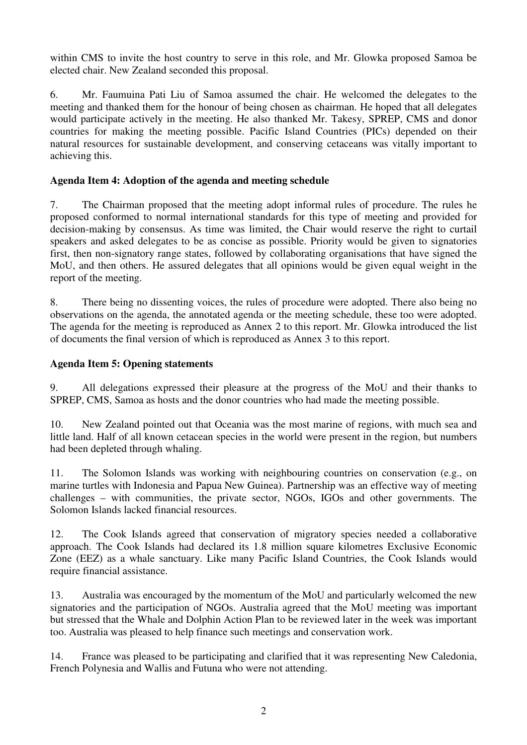within CMS to invite the host country to serve in this role, and Mr. Glowka proposed Samoa be elected chair. New Zealand seconded this proposal.

6. Mr. Faumuina Pati Liu of Samoa assumed the chair. He welcomed the delegates to the meeting and thanked them for the honour of being chosen as chairman. He hoped that all delegates would participate actively in the meeting. He also thanked Mr. Takesy, SPREP, CMS and donor countries for making the meeting possible. Pacific Island Countries (PICs) depended on their natural resources for sustainable development, and conserving cetaceans was vitally important to achieving this.

### **Agenda Item 4: Adoption of the agenda and meeting schedule**

7. The Chairman proposed that the meeting adopt informal rules of procedure. The rules he proposed conformed to normal international standards for this type of meeting and provided for decision-making by consensus. As time was limited, the Chair would reserve the right to curtail speakers and asked delegates to be as concise as possible. Priority would be given to signatories first, then non-signatory range states, followed by collaborating organisations that have signed the MoU, and then others. He assured delegates that all opinions would be given equal weight in the report of the meeting.

8. There being no dissenting voices, the rules of procedure were adopted. There also being no observations on the agenda, the annotated agenda or the meeting schedule, these too were adopted. The agenda for the meeting is reproduced as Annex 2 to this report. Mr. Glowka introduced the list of documents the final version of which is reproduced as Annex 3 to this report.

#### **Agenda Item 5: Opening statements**

9. All delegations expressed their pleasure at the progress of the MoU and their thanks to SPREP, CMS, Samoa as hosts and the donor countries who had made the meeting possible.

10. New Zealand pointed out that Oceania was the most marine of regions, with much sea and little land. Half of all known cetacean species in the world were present in the region, but numbers had been depleted through whaling.

11. The Solomon Islands was working with neighbouring countries on conservation (e.g., on marine turtles with Indonesia and Papua New Guinea). Partnership was an effective way of meeting challenges – with communities, the private sector, NGOs, IGOs and other governments. The Solomon Islands lacked financial resources.

12. The Cook Islands agreed that conservation of migratory species needed a collaborative approach. The Cook Islands had declared its 1.8 million square kilometres Exclusive Economic Zone (EEZ) as a whale sanctuary. Like many Pacific Island Countries, the Cook Islands would require financial assistance.

13. Australia was encouraged by the momentum of the MoU and particularly welcomed the new signatories and the participation of NGOs. Australia agreed that the MoU meeting was important but stressed that the Whale and Dolphin Action Plan to be reviewed later in the week was important too. Australia was pleased to help finance such meetings and conservation work.

14. France was pleased to be participating and clarified that it was representing New Caledonia, French Polynesia and Wallis and Futuna who were not attending.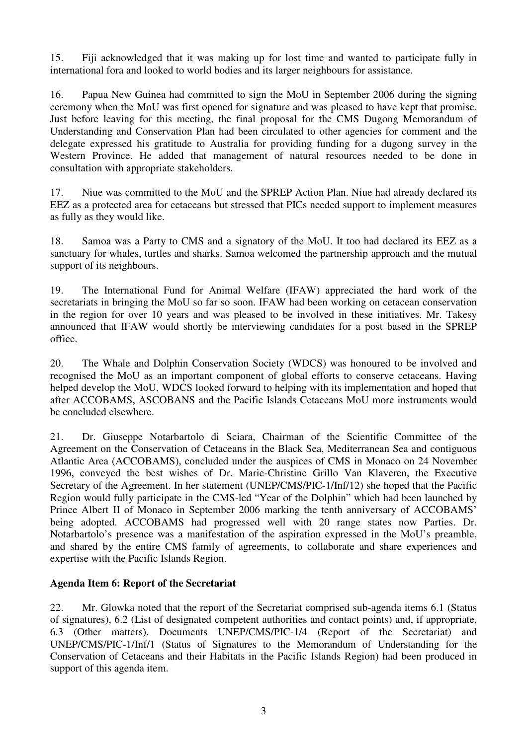15. Fiji acknowledged that it was making up for lost time and wanted to participate fully in international fora and looked to world bodies and its larger neighbours for assistance.

16. Papua New Guinea had committed to sign the MoU in September 2006 during the signing ceremony when the MoU was first opened for signature and was pleased to have kept that promise. Just before leaving for this meeting, the final proposal for the CMS Dugong Memorandum of Understanding and Conservation Plan had been circulated to other agencies for comment and the delegate expressed his gratitude to Australia for providing funding for a dugong survey in the Western Province. He added that management of natural resources needed to be done in consultation with appropriate stakeholders.

17. Niue was committed to the MoU and the SPREP Action Plan. Niue had already declared its EEZ as a protected area for cetaceans but stressed that PICs needed support to implement measures as fully as they would like.

18. Samoa was a Party to CMS and a signatory of the MoU. It too had declared its EEZ as a sanctuary for whales, turtles and sharks. Samoa welcomed the partnership approach and the mutual support of its neighbours.

19. The International Fund for Animal Welfare (IFAW) appreciated the hard work of the secretariats in bringing the MoU so far so soon. IFAW had been working on cetacean conservation in the region for over 10 years and was pleased to be involved in these initiatives. Mr. Takesy announced that IFAW would shortly be interviewing candidates for a post based in the SPREP office.

20. The Whale and Dolphin Conservation Society (WDCS) was honoured to be involved and recognised the MoU as an important component of global efforts to conserve cetaceans. Having helped develop the MoU, WDCS looked forward to helping with its implementation and hoped that after ACCOBAMS, ASCOBANS and the Pacific Islands Cetaceans MoU more instruments would be concluded elsewhere.

21. Dr. Giuseppe Notarbartolo di Sciara, Chairman of the Scientific Committee of the Agreement on the Conservation of Cetaceans in the Black Sea, Mediterranean Sea and contiguous Atlantic Area (ACCOBAMS), concluded under the auspices of CMS in Monaco on 24 November 1996, conveyed the best wishes of Dr. Marie-Christine Grillo Van Klaveren, the Executive Secretary of the Agreement. In her statement (UNEP/CMS/PIC-1/Inf/12) she hoped that the Pacific Region would fully participate in the CMS-led "Year of the Dolphin" which had been launched by Prince Albert II of Monaco in September 2006 marking the tenth anniversary of ACCOBAMS' being adopted. ACCOBAMS had progressed well with 20 range states now Parties. Dr. Notarbartolo's presence was a manifestation of the aspiration expressed in the MoU's preamble, and shared by the entire CMS family of agreements, to collaborate and share experiences and expertise with the Pacific Islands Region.

## **Agenda Item 6: Report of the Secretariat**

22. Mr. Glowka noted that the report of the Secretariat comprised sub-agenda items 6.1 (Status of signatures), 6.2 (List of designated competent authorities and contact points) and, if appropriate, 6.3 (Other matters). Documents UNEP/CMS/PIC-1/4 (Report of the Secretariat) and UNEP/CMS/PIC-1/Inf/1 (Status of Signatures to the Memorandum of Understanding for the Conservation of Cetaceans and their Habitats in the Pacific Islands Region) had been produced in support of this agenda item.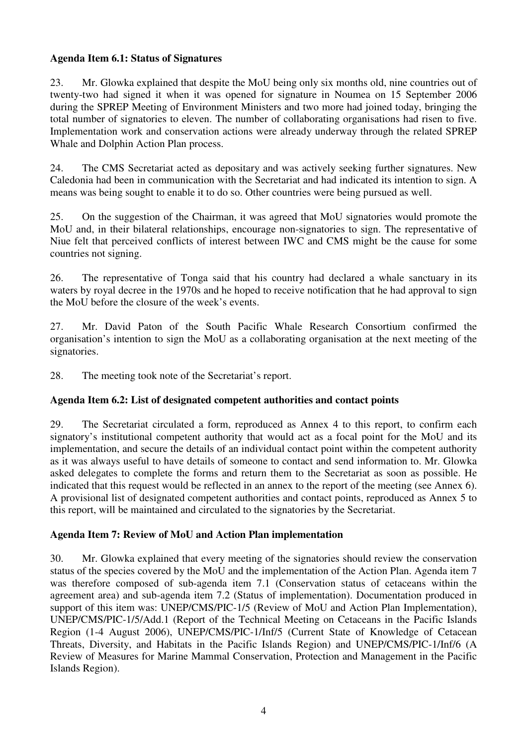## **Agenda Item 6.1: Status of Signatures**

23. Mr. Glowka explained that despite the MoU being only six months old, nine countries out of twenty-two had signed it when it was opened for signature in Noumea on 15 September 2006 during the SPREP Meeting of Environment Ministers and two more had joined today, bringing the total number of signatories to eleven. The number of collaborating organisations had risen to five. Implementation work and conservation actions were already underway through the related SPREP Whale and Dolphin Action Plan process.

24. The CMS Secretariat acted as depositary and was actively seeking further signatures. New Caledonia had been in communication with the Secretariat and had indicated its intention to sign. A means was being sought to enable it to do so. Other countries were being pursued as well.

25. On the suggestion of the Chairman, it was agreed that MoU signatories would promote the MoU and, in their bilateral relationships, encourage non-signatories to sign. The representative of Niue felt that perceived conflicts of interest between IWC and CMS might be the cause for some countries not signing.

26. The representative of Tonga said that his country had declared a whale sanctuary in its waters by royal decree in the 1970s and he hoped to receive notification that he had approval to sign the MoU before the closure of the week's events.

27. Mr. David Paton of the South Pacific Whale Research Consortium confirmed the organisation's intention to sign the MoU as a collaborating organisation at the next meeting of the signatories.

28. The meeting took note of the Secretariat's report.

## **Agenda Item 6.2: List of designated competent authorities and contact points**

29. The Secretariat circulated a form, reproduced as Annex 4 to this report, to confirm each signatory's institutional competent authority that would act as a focal point for the MoU and its implementation, and secure the details of an individual contact point within the competent authority as it was always useful to have details of someone to contact and send information to. Mr. Glowka asked delegates to complete the forms and return them to the Secretariat as soon as possible. He indicated that this request would be reflected in an annex to the report of the meeting (see Annex 6). A provisional list of designated competent authorities and contact points, reproduced as Annex 5 to this report, will be maintained and circulated to the signatories by the Secretariat.

## **Agenda Item 7: Review of MoU and Action Plan implementation**

30. Mr. Glowka explained that every meeting of the signatories should review the conservation status of the species covered by the MoU and the implementation of the Action Plan. Agenda item 7 was therefore composed of sub-agenda item 7.1 (Conservation status of cetaceans within the agreement area) and sub-agenda item 7.2 (Status of implementation). Documentation produced in support of this item was: UNEP/CMS/PIC-1/5 (Review of MoU and Action Plan Implementation), UNEP/CMS/PIC-1/5/Add.1 (Report of the Technical Meeting on Cetaceans in the Pacific Islands Region (1-4 August 2006), UNEP/CMS/PIC-1/Inf/5 (Current State of Knowledge of Cetacean Threats, Diversity, and Habitats in the Pacific Islands Region) and UNEP/CMS/PIC-1/Inf/6 (A Review of Measures for Marine Mammal Conservation, Protection and Management in the Pacific Islands Region).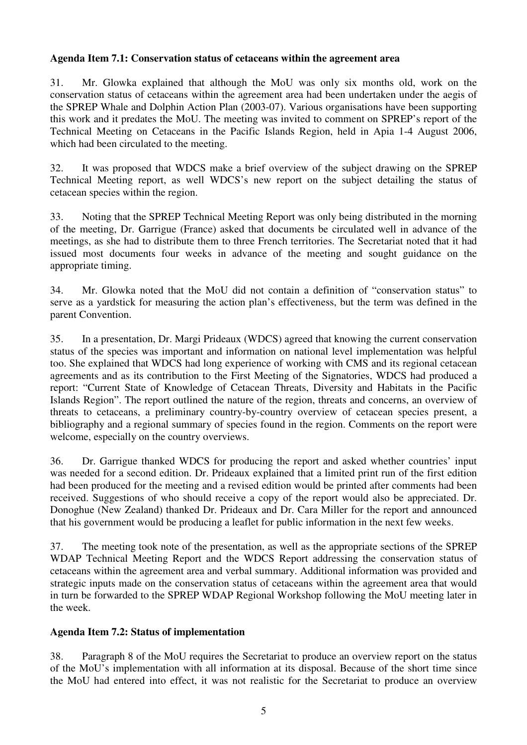### **Agenda Item 7.1: Conservation status of cetaceans within the agreement area**

31. Mr. Glowka explained that although the MoU was only six months old, work on the conservation status of cetaceans within the agreement area had been undertaken under the aegis of the SPREP Whale and Dolphin Action Plan (2003-07). Various organisations have been supporting this work and it predates the MoU. The meeting was invited to comment on SPREP's report of the Technical Meeting on Cetaceans in the Pacific Islands Region, held in Apia 1-4 August 2006, which had been circulated to the meeting.

32. It was proposed that WDCS make a brief overview of the subject drawing on the SPREP Technical Meeting report, as well WDCS's new report on the subject detailing the status of cetacean species within the region.

33. Noting that the SPREP Technical Meeting Report was only being distributed in the morning of the meeting, Dr. Garrigue (France) asked that documents be circulated well in advance of the meetings, as she had to distribute them to three French territories. The Secretariat noted that it had issued most documents four weeks in advance of the meeting and sought guidance on the appropriate timing.

34. Mr. Glowka noted that the MoU did not contain a definition of "conservation status" to serve as a yardstick for measuring the action plan's effectiveness, but the term was defined in the parent Convention.

35. In a presentation, Dr. Margi Prideaux (WDCS) agreed that knowing the current conservation status of the species was important and information on national level implementation was helpful too. She explained that WDCS had long experience of working with CMS and its regional cetacean agreements and as its contribution to the First Meeting of the Signatories, WDCS had produced a report: "Current State of Knowledge of Cetacean Threats, Diversity and Habitats in the Pacific Islands Region". The report outlined the nature of the region, threats and concerns, an overview of threats to cetaceans, a preliminary country-by-country overview of cetacean species present, a bibliography and a regional summary of species found in the region. Comments on the report were welcome, especially on the country overviews.

36. Dr. Garrigue thanked WDCS for producing the report and asked whether countries' input was needed for a second edition. Dr. Prideaux explained that a limited print run of the first edition had been produced for the meeting and a revised edition would be printed after comments had been received. Suggestions of who should receive a copy of the report would also be appreciated. Dr. Donoghue (New Zealand) thanked Dr. Prideaux and Dr. Cara Miller for the report and announced that his government would be producing a leaflet for public information in the next few weeks.

37. The meeting took note of the presentation, as well as the appropriate sections of the SPREP WDAP Technical Meeting Report and the WDCS Report addressing the conservation status of cetaceans within the agreement area and verbal summary. Additional information was provided and strategic inputs made on the conservation status of cetaceans within the agreement area that would in turn be forwarded to the SPREP WDAP Regional Workshop following the MoU meeting later in the week.

## **Agenda Item 7.2: Status of implementation**

38. Paragraph 8 of the MoU requires the Secretariat to produce an overview report on the status of the MoU's implementation with all information at its disposal. Because of the short time since the MoU had entered into effect, it was not realistic for the Secretariat to produce an overview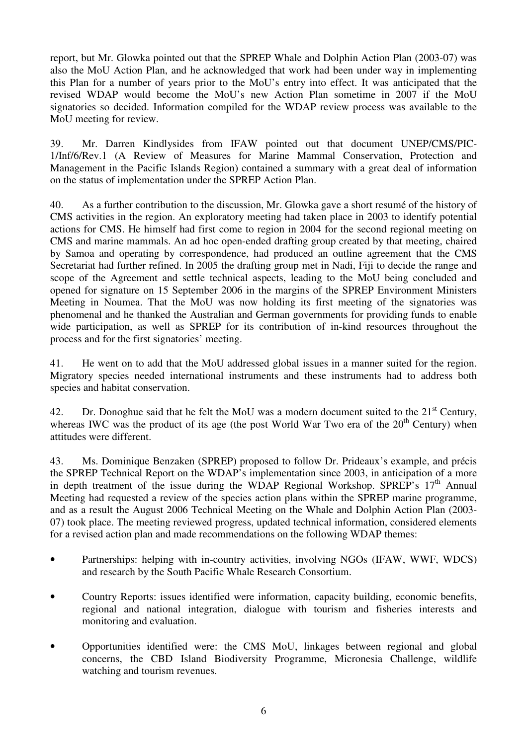report, but Mr. Glowka pointed out that the SPREP Whale and Dolphin Action Plan (2003-07) was also the MoU Action Plan, and he acknowledged that work had been under way in implementing this Plan for a number of years prior to the MoU's entry into effect. It was anticipated that the revised WDAP would become the MoU's new Action Plan sometime in 2007 if the MoU signatories so decided. Information compiled for the WDAP review process was available to the MoU meeting for review.

39. Mr. Darren Kindlysides from IFAW pointed out that document UNEP/CMS/PIC-1/Inf/6/Rev.1 (A Review of Measures for Marine Mammal Conservation, Protection and Management in the Pacific Islands Region) contained a summary with a great deal of information on the status of implementation under the SPREP Action Plan.

40. As a further contribution to the discussion, Mr. Glowka gave a short resumé of the history of CMS activities in the region. An exploratory meeting had taken place in 2003 to identify potential actions for CMS. He himself had first come to region in 2004 for the second regional meeting on CMS and marine mammals. An ad hoc open-ended drafting group created by that meeting, chaired by Samoa and operating by correspondence, had produced an outline agreement that the CMS Secretariat had further refined. In 2005 the drafting group met in Nadi, Fiji to decide the range and scope of the Agreement and settle technical aspects, leading to the MoU being concluded and opened for signature on 15 September 2006 in the margins of the SPREP Environment Ministers Meeting in Noumea. That the MoU was now holding its first meeting of the signatories was phenomenal and he thanked the Australian and German governments for providing funds to enable wide participation, as well as SPREP for its contribution of in-kind resources throughout the process and for the first signatories' meeting.

41. He went on to add that the MoU addressed global issues in a manner suited for the region. Migratory species needed international instruments and these instruments had to address both species and habitat conservation.

42. Dr. Donoghue said that he felt the MoU was a modern document suited to the  $21<sup>st</sup>$  Century, whereas IWC was the product of its age (the post World War Two era of the  $20<sup>th</sup>$  Century) when attitudes were different.

43. Ms. Dominique Benzaken (SPREP) proposed to follow Dr. Prideaux's example, and précis the SPREP Technical Report on the WDAP's implementation since 2003, in anticipation of a more in depth treatment of the issue during the WDAP Regional Workshop. SPREP's  $17<sup>th</sup>$  Annual Meeting had requested a review of the species action plans within the SPREP marine programme, and as a result the August 2006 Technical Meeting on the Whale and Dolphin Action Plan (2003- 07) took place. The meeting reviewed progress, updated technical information, considered elements for a revised action plan and made recommendations on the following WDAP themes:

- Partnerships: helping with in-country activities, involving NGOs (IFAW, WWF, WDCS) and research by the South Pacific Whale Research Consortium.
- Country Reports: issues identified were information, capacity building, economic benefits, regional and national integration, dialogue with tourism and fisheries interests and monitoring and evaluation.
- Opportunities identified were: the CMS MoU, linkages between regional and global concerns, the CBD Island Biodiversity Programme, Micronesia Challenge, wildlife watching and tourism revenues.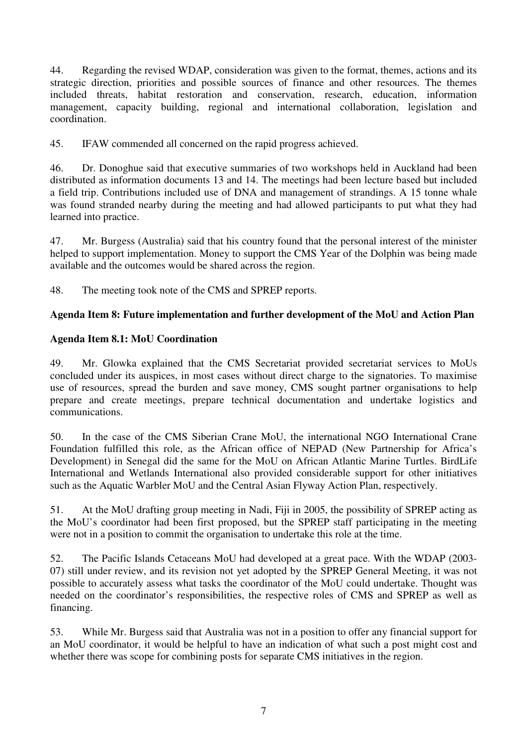44. Regarding the revised WDAP, consideration was given to the format, themes, actions and its strategic direction, priorities and possible sources of finance and other resources. The themes included threats, habitat restoration and conservation, research, education, information management, capacity building, regional and international collaboration, legislation and coordination.

45. IFAW commended all concerned on the rapid progress achieved.

46. Dr. Donoghue said that executive summaries of two workshops held in Auckland had been distributed as information documents 13 and 14. The meetings had been lecture based but included a field trip. Contributions included use of DNA and management of strandings. A 15 tonne whale was found stranded nearby during the meeting and had allowed participants to put what they had learned into practice.

47. Mr. Burgess (Australia) said that his country found that the personal interest of the minister helped to support implementation. Money to support the CMS Year of the Dolphin was being made available and the outcomes would be shared across the region.

48. The meeting took note of the CMS and SPREP reports.

## **Agenda Item 8: Future implementation and further development of the MoU and Action Plan**

## **Agenda Item 8.1: MoU Coordination**

49. Mr. Glowka explained that the CMS Secretariat provided secretariat services to MoUs concluded under its auspices, in most cases without direct charge to the signatories. To maximise use of resources, spread the burden and save money, CMS sought partner organisations to help prepare and create meetings, prepare technical documentation and undertake logistics and communications.

50. In the case of the CMS Siberian Crane MoU, the international NGO International Crane Foundation fulfilled this role, as the African office of NEPAD (New Partnership for Africa's Development) in Senegal did the same for the MoU on African Atlantic Marine Turtles. BirdLife International and Wetlands International also provided considerable support for other initiatives such as the Aquatic Warbler MoU and the Central Asian Flyway Action Plan, respectively.

51. At the MoU drafting group meeting in Nadi, Fiji in 2005, the possibility of SPREP acting as the MoU's coordinator had been first proposed, but the SPREP staff participating in the meeting were not in a position to commit the organisation to undertake this role at the time.

52. The Pacific Islands Cetaceans MoU had developed at a great pace. With the WDAP (2003- 07) still under review, and its revision not yet adopted by the SPREP General Meeting, it was not possible to accurately assess what tasks the coordinator of the MoU could undertake. Thought was needed on the coordinator's responsibilities, the respective roles of CMS and SPREP as well as financing.

53. While Mr. Burgess said that Australia was not in a position to offer any financial support for an MoU coordinator, it would be helpful to have an indication of what such a post might cost and whether there was scope for combining posts for separate CMS initiatives in the region.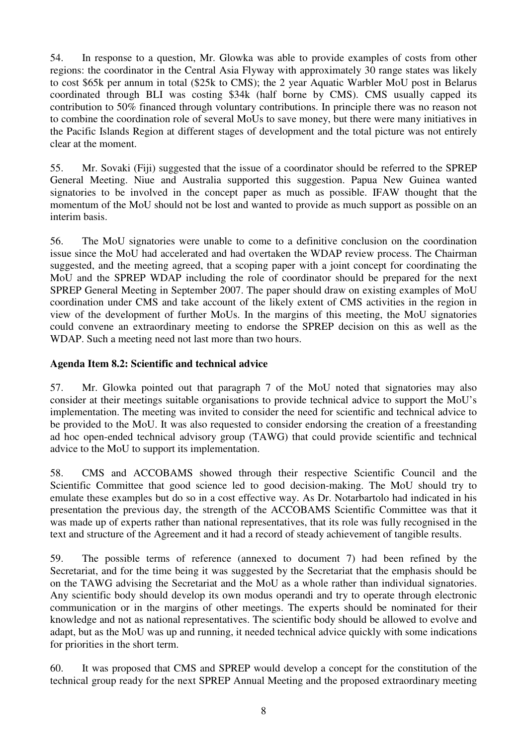54. In response to a question, Mr. Glowka was able to provide examples of costs from other regions: the coordinator in the Central Asia Flyway with approximately 30 range states was likely to cost \$65k per annum in total (\$25k to CMS); the 2 year Aquatic Warbler MoU post in Belarus coordinated through BLI was costing \$34k (half borne by CMS). CMS usually capped its contribution to 50% financed through voluntary contributions. In principle there was no reason not to combine the coordination role of several MoUs to save money, but there were many initiatives in the Pacific Islands Region at different stages of development and the total picture was not entirely clear at the moment.

55. Mr. Sovaki (Fiji) suggested that the issue of a coordinator should be referred to the SPREP General Meeting. Niue and Australia supported this suggestion. Papua New Guinea wanted signatories to be involved in the concept paper as much as possible. IFAW thought that the momentum of the MoU should not be lost and wanted to provide as much support as possible on an interim basis.

56. The MoU signatories were unable to come to a definitive conclusion on the coordination issue since the MoU had accelerated and had overtaken the WDAP review process. The Chairman suggested, and the meeting agreed, that a scoping paper with a joint concept for coordinating the MoU and the SPREP WDAP including the role of coordinator should be prepared for the next SPREP General Meeting in September 2007. The paper should draw on existing examples of MoU coordination under CMS and take account of the likely extent of CMS activities in the region in view of the development of further MoUs. In the margins of this meeting, the MoU signatories could convene an extraordinary meeting to endorse the SPREP decision on this as well as the WDAP. Such a meeting need not last more than two hours.

### **Agenda Item 8.2: Scientific and technical advice**

57. Mr. Glowka pointed out that paragraph 7 of the MoU noted that signatories may also consider at their meetings suitable organisations to provide technical advice to support the MoU's implementation. The meeting was invited to consider the need for scientific and technical advice to be provided to the MoU. It was also requested to consider endorsing the creation of a freestanding ad hoc open-ended technical advisory group (TAWG) that could provide scientific and technical advice to the MoU to support its implementation.

58. CMS and ACCOBAMS showed through their respective Scientific Council and the Scientific Committee that good science led to good decision-making. The MoU should try to emulate these examples but do so in a cost effective way. As Dr. Notarbartolo had indicated in his presentation the previous day, the strength of the ACCOBAMS Scientific Committee was that it was made up of experts rather than national representatives, that its role was fully recognised in the text and structure of the Agreement and it had a record of steady achievement of tangible results.

59. The possible terms of reference (annexed to document 7) had been refined by the Secretariat, and for the time being it was suggested by the Secretariat that the emphasis should be on the TAWG advising the Secretariat and the MoU as a whole rather than individual signatories. Any scientific body should develop its own modus operandi and try to operate through electronic communication or in the margins of other meetings. The experts should be nominated for their knowledge and not as national representatives. The scientific body should be allowed to evolve and adapt, but as the MoU was up and running, it needed technical advice quickly with some indications for priorities in the short term.

60. It was proposed that CMS and SPREP would develop a concept for the constitution of the technical group ready for the next SPREP Annual Meeting and the proposed extraordinary meeting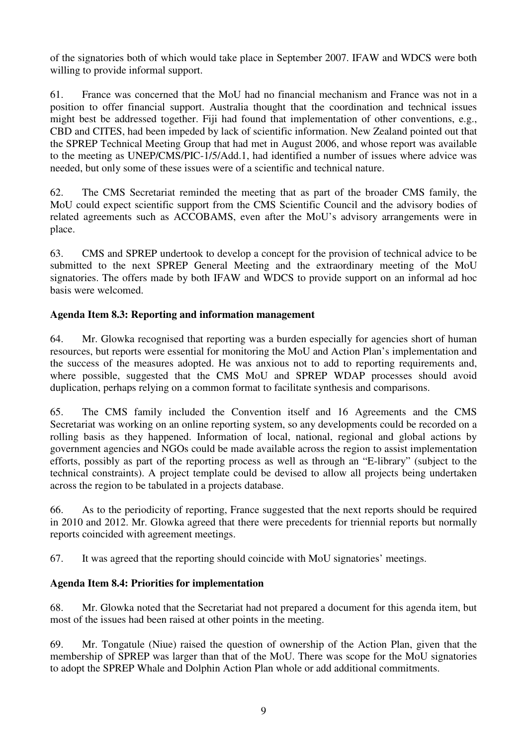of the signatories both of which would take place in September 2007. IFAW and WDCS were both willing to provide informal support.

61. France was concerned that the MoU had no financial mechanism and France was not in a position to offer financial support. Australia thought that the coordination and technical issues might best be addressed together. Fiji had found that implementation of other conventions, e.g., CBD and CITES, had been impeded by lack of scientific information. New Zealand pointed out that the SPREP Technical Meeting Group that had met in August 2006, and whose report was available to the meeting as UNEP/CMS/PIC-1/5/Add.1, had identified a number of issues where advice was needed, but only some of these issues were of a scientific and technical nature.

62. The CMS Secretariat reminded the meeting that as part of the broader CMS family, the MoU could expect scientific support from the CMS Scientific Council and the advisory bodies of related agreements such as ACCOBAMS, even after the MoU's advisory arrangements were in place.

63. CMS and SPREP undertook to develop a concept for the provision of technical advice to be submitted to the next SPREP General Meeting and the extraordinary meeting of the MoU signatories. The offers made by both IFAW and WDCS to provide support on an informal ad hoc basis were welcomed.

## **Agenda Item 8.3: Reporting and information management**

64. Mr. Glowka recognised that reporting was a burden especially for agencies short of human resources, but reports were essential for monitoring the MoU and Action Plan's implementation and the success of the measures adopted. He was anxious not to add to reporting requirements and, where possible, suggested that the CMS MoU and SPREP WDAP processes should avoid duplication, perhaps relying on a common format to facilitate synthesis and comparisons.

65. The CMS family included the Convention itself and 16 Agreements and the CMS Secretariat was working on an online reporting system, so any developments could be recorded on a rolling basis as they happened. Information of local, national, regional and global actions by government agencies and NGOs could be made available across the region to assist implementation efforts, possibly as part of the reporting process as well as through an "E-library" (subject to the technical constraints). A project template could be devised to allow all projects being undertaken across the region to be tabulated in a projects database.

66. As to the periodicity of reporting, France suggested that the next reports should be required in 2010 and 2012. Mr. Glowka agreed that there were precedents for triennial reports but normally reports coincided with agreement meetings.

67. It was agreed that the reporting should coincide with MoU signatories' meetings.

## **Agenda Item 8.4: Priorities for implementation**

68. Mr. Glowka noted that the Secretariat had not prepared a document for this agenda item, but most of the issues had been raised at other points in the meeting.

69. Mr. Tongatule (Niue) raised the question of ownership of the Action Plan, given that the membership of SPREP was larger than that of the MoU. There was scope for the MoU signatories to adopt the SPREP Whale and Dolphin Action Plan whole or add additional commitments.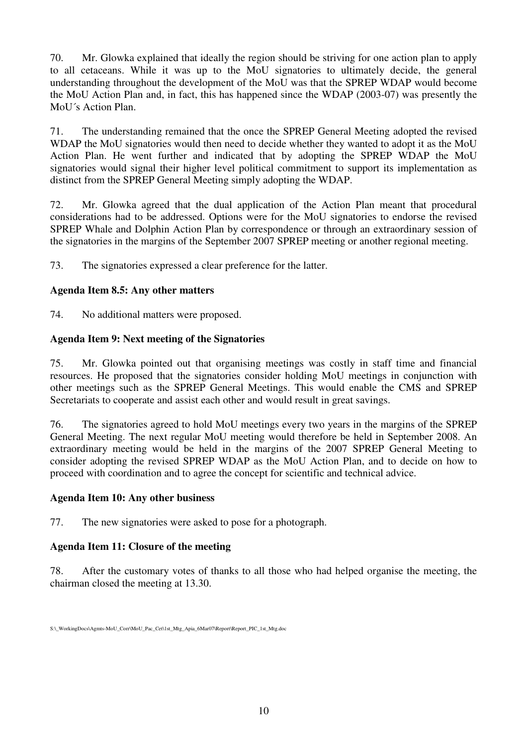70. Mr. Glowka explained that ideally the region should be striving for one action plan to apply to all cetaceans. While it was up to the MoU signatories to ultimately decide, the general understanding throughout the development of the MoU was that the SPREP WDAP would become the MoU Action Plan and, in fact, this has happened since the WDAP (2003-07) was presently the MoU´s Action Plan.

71. The understanding remained that the once the SPREP General Meeting adopted the revised WDAP the MoU signatories would then need to decide whether they wanted to adopt it as the MoU Action Plan. He went further and indicated that by adopting the SPREP WDAP the MoU signatories would signal their higher level political commitment to support its implementation as distinct from the SPREP General Meeting simply adopting the WDAP.

72. Mr. Glowka agreed that the dual application of the Action Plan meant that procedural considerations had to be addressed. Options were for the MoU signatories to endorse the revised SPREP Whale and Dolphin Action Plan by correspondence or through an extraordinary session of the signatories in the margins of the September 2007 SPREP meeting or another regional meeting.

73. The signatories expressed a clear preference for the latter.

## **Agenda Item 8.5: Any other matters**

74. No additional matters were proposed.

## **Agenda Item 9: Next meeting of the Signatories**

75. Mr. Glowka pointed out that organising meetings was costly in staff time and financial resources. He proposed that the signatories consider holding MoU meetings in conjunction with other meetings such as the SPREP General Meetings. This would enable the CMS and SPREP Secretariats to cooperate and assist each other and would result in great savings.

76. The signatories agreed to hold MoU meetings every two years in the margins of the SPREP General Meeting. The next regular MoU meeting would therefore be held in September 2008. An extraordinary meeting would be held in the margins of the 2007 SPREP General Meeting to consider adopting the revised SPREP WDAP as the MoU Action Plan, and to decide on how to proceed with coordination and to agree the concept for scientific and technical advice.

## **Agenda Item 10: Any other business**

77. The new signatories were asked to pose for a photograph.

## **Agenda Item 11: Closure of the meeting**

78. After the customary votes of thanks to all those who had helped organise the meeting, the chairman closed the meeting at 13.30.

S:\ WorkingDocs\Agmts-MoU\_Corr\MoU\_Pac\_Cet\1st\_Mtg\_Apia\_6Mar07\Report\Report\_PIC\_1st\_Mtg.doc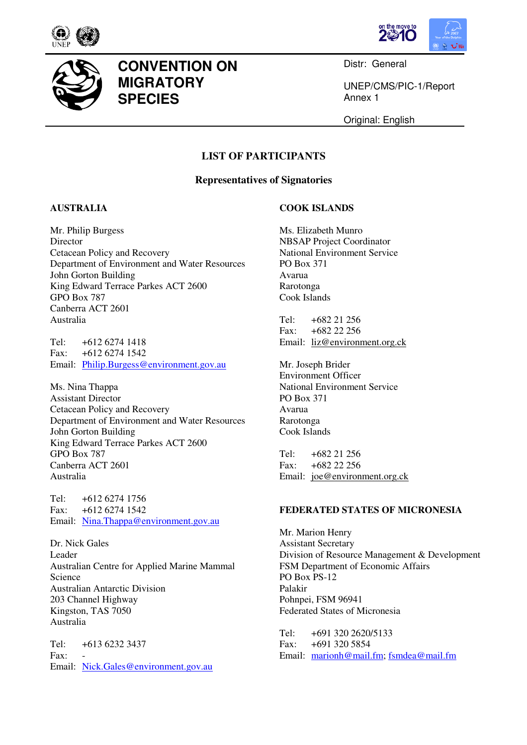



Distr: General

UNEP/CMS/PIC-1/Report Annex 1

Original: English

## **LIST OF PARTICIPANTS**

#### **Representatives of Signatories**

### **AUSTRALIA**

Mr. Philip Burgess **Director** Cetacean Policy and Recovery Department of Environment and Water Resources John Gorton Building King Edward Terrace Parkes ACT 2600 GPO Box 787 Canberra ACT 2601 Australia

**CONVENTION ON** 

**MIGRATORY** 

**SPECIES** 

Tel: +612 6274 1418<br>Fax: +612 6274 1542 +612 6274 1542 Email: Philip.Burgess@environment.gov.au

Ms. Nina Thappa Assistant Director Cetacean Policy and Recovery Department of Environment and Water Resources John Gorton Building King Edward Terrace Parkes ACT 2600 GPO Box 787 Canberra ACT 2601 Australia

Tel: +612 6274 1756 Fax: +612 6274 1542 Email: Nina.Thappa@environment.gov.au

Dr. Nick Gales Leader Australian Centre for Applied Marine Mammal Science Australian Antarctic Division 203 Channel Highway Kingston, TAS 7050 Australia

Tel: +613 6232 3437  $Fax$ Email: Nick.Gales@environment.gov.au

#### **COOK ISLANDS**

Ms. Elizabeth Munro NBSAP Project Coordinator National Environment Service PO Box 371 Avarua Rarotonga Cook Islands

Tel: +682 21 256 Fax: +682 22 256 Email: liz@environment.org.ck

Mr. Joseph Brider Environment Officer National Environment Service PO Box 371 Avarua Rarotonga Cook Islands

Tel: +682 21 256 Fax: +682 22 256 Email: joe@environment.org.ck

#### **FEDERATED STATES OF MICRONESIA**

Mr. Marion Henry Assistant Secretary Division of Resource Management & Development FSM Department of Economic Affairs PO Box PS-12 Palakir Pohnpei, FSM 96941 Federated States of Micronesia

Tel: +691 320 2620/5133 Fax: +691 320 5854 Email: marionh@mail.fm; fsmdea@mail.fm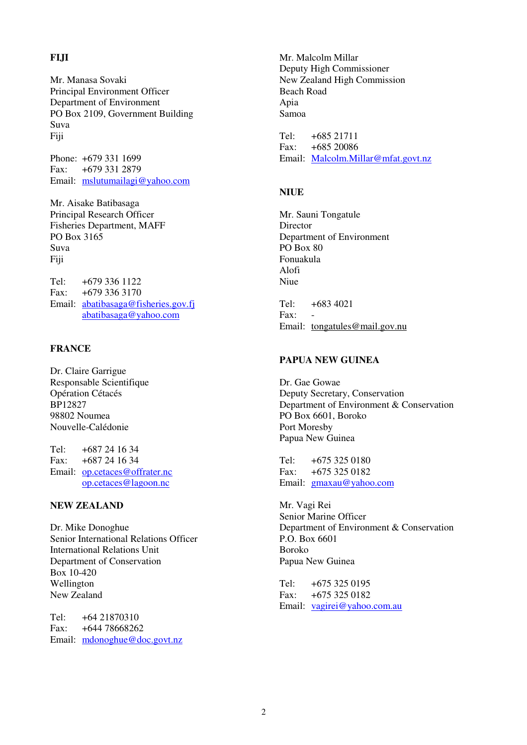#### **FIJI**

Mr. Manasa Sovaki Principal Environment Officer Department of Environment PO Box 2109, Government Building Suva Fiji

Phone: +679 331 1699 Fax: +679 331 2879 Email: mslutumailagi@yahoo.com

Mr. Aisake Batibasaga Principal Research Officer Fisheries Department, MAFF PO Box 3165 Suva Fiji

Tel:  $+6793361122$ Fax: +679 336 3170 Email: abatibasaga@fisheries.gov.fj abatibasaga@yahoo.com

#### **FRANCE**

Dr. Claire Garrigue Responsable Scientifique Opération Cétacés BP12827 98802 Noumea Nouvelle-Calédonie

Tel: +687 24 16 34 Fax: +687 24 16 34 Email: op.cetaces@offrater.nc op.cetaces@lagoon.nc

#### **NEW ZEALAND**

Dr. Mike Donoghue Senior International Relations Officer International Relations Unit Department of Conservation Box 10-420 Wellington New Zealand

Tel:  $+64.21870310$ Fax: +644 78668262 Email: mdonoghue@doc.govt.nz Mr. Malcolm Millar Deputy High Commissioner New Zealand High Commission Beach Road Apia Samoa

Tel: +685 21711 Fax: +685 20086 Email: Malcolm.Millar@mfat.govt.nz

#### **NIUE**

Mr. Sauni Tongatule Director Department of Environment PO Box 80 Fonuakula Alofi Niue

Tel: +683 4021 Fax: Email: tongatules@mail.gov.nu

#### **PAPUA NEW GUINEA**

Dr. Gae Gowae Deputy Secretary, Conservation Department of Environment & Conservation PO Box 6601, Boroko Port Moresby Papua New Guinea

Tel: +675 325 0180 Fax: +675 325 0182 Email: gmaxau@yahoo.com

Mr. Vagi Rei Senior Marine Officer Department of Environment & Conservation P.O. Box 6601 Boroko Papua New Guinea

Tel: +675 325 0195 Fax: +675 325 0182 Email: vagirei@yahoo.com.au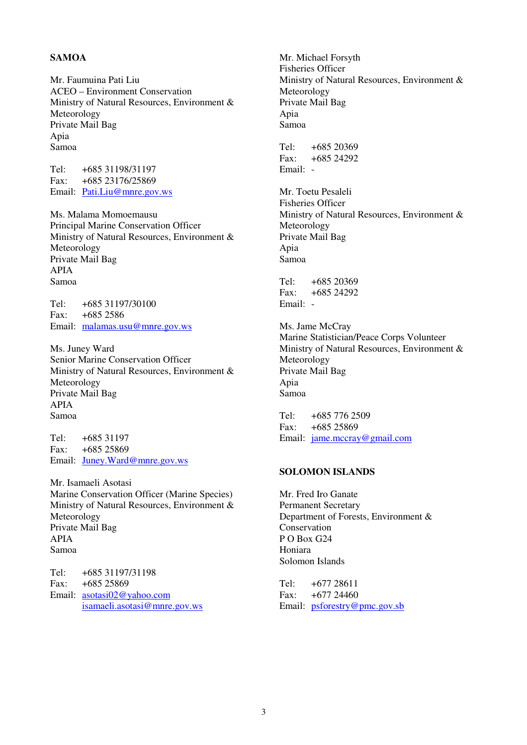#### **SAMOA**

Mr. Faumuina Pati Liu ACEO – Environment Conservation Ministry of Natural Resources, Environment & Meteorology Private Mail Bag Apia Samoa

Tel: +685 31198/31197 Fax: +685 23176/25869 Email: Pati.Liu@mnre.gov.ws

Ms. Malama Momoemausu Principal Marine Conservation Officer Ministry of Natural Resources, Environment & Meteorology Private Mail Bag APIA Samoa

Tel: +685 31197/30100 Fax: +685 2586 Email: malamas.usu@mnre.gov.ws

Ms. Juney Ward Senior Marine Conservation Officer Ministry of Natural Resources, Environment & Meteorology Private Mail Bag APIA Samoa

 $Tel: +68531197$ Fax: +685 25869 Email: Juney.Ward@mnre.gov.ws

Mr. Isamaeli Asotasi Marine Conservation Officer (Marine Species) Ministry of Natural Resources, Environment & Meteorology Private Mail Bag APIA Samoa

Tel: +685 31197/31198 Fax: +685 25869 Email: asotasi02@yahoo.com isamaeli.asotasi@mnre.gov.ws Mr. Michael Forsyth Fisheries Officer Ministry of Natural Resources, Environment & Meteorology Private Mail Bag Apia Samoa Tel: +685 20369 Fax: +685 24292 Email: - Mr. Toetu Pesaleli Fisheries Officer Ministry of Natural Resources, Environment & Meteorology Private Mail Bag Apia

 $Tel' + 685 20369$ Fax: +685 24292 Email: -

Samoa

Ms. Jame McCray Marine Statistician/Peace Corps Volunteer Ministry of Natural Resources, Environment & Meteorology Private Mail Bag Apia Samoa

Tel: +685 776 2509 Fax: +685 25869 Email: jame.mccray@gmail.com

#### **SOLOMON ISLANDS**

Mr. Fred Iro Ganate Permanent Secretary Department of Forests, Environment & **Conservation** P O Box G24 Honiara Solomon Islands

Tel: +677 28611 Fax: +677 24460 Email: psforestry@pmc.gov.sb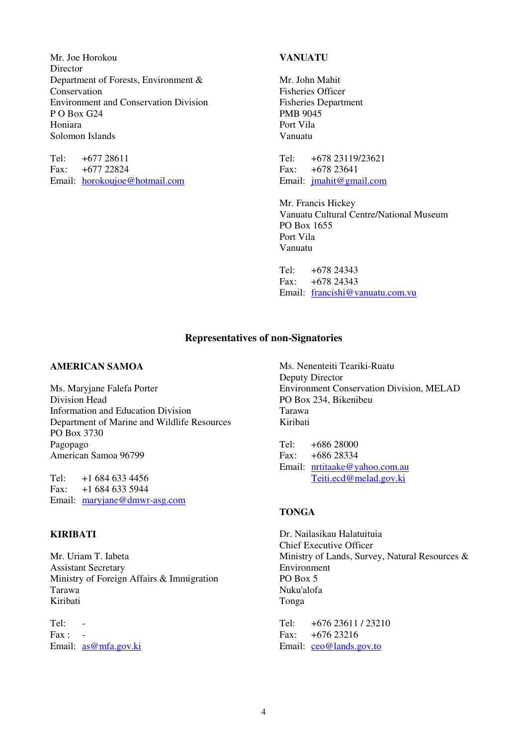Mr. Joe Horokou **Director** Department of Forests, Environment & Conservation Environment and Conservation Division P O Box G24 Honiara Solomon Islands

Tel: +677 28611 Fax: +677 22824 Email: horokoujoe@hotmail.com

#### **VANUATU**

Mr. John Mahit Fisheries Officer Fisheries Department PMB 9045 Port Vila Vanuatu

Tel: +678 23119/23621 Fax: +678 23641 Email: jmahit@gmail.com

Mr. Francis Hickey Vanuatu Cultural Centre/National Museum PO Box 1655 Port Vila Vanuatu

Tel: +678 24343  $Fax \cdot +67824343$ Email: francishi@vanuatu.com.vu

### **Representatives of non-Signatories**

#### **AMERICAN SAMOA**

Ms. Maryjane Falefa Porter Division Head Information and Education Division Department of Marine and Wildlife Resources PO Box 3730 Pagopago American Samoa 96799

Tel:  $+16846334456$ Fax: +1 684 633 5944 Email: maryjane@dmwr-asg.com

#### **KIRIBATI**

Mr. Uriam T. Iabeta Assistant Secretary Ministry of Foreign Affairs & Immigration Tarawa Kiribati

 $Tel: Fax:$ Email: as@mfa.gov.ki

Ms. Nenenteiti Teariki-Ruatu Deputy Director Environment Conservation Division, MELAD PO Box 234, Bikenibeu Tarawa Kiribati

Tel: +686 28000 Fax: +686 28334 Email: nrtitaake@yahoo.com.au Teiti.ecd@melad.gov.ki

#### **TONGA**

Dr. Nailasikau Halatuituia Chief Executive Officer Ministry of Lands, Survey, Natural Resources & Environment PO Box 5 Nuku'alofa Tonga

Tel: +676 23611 / 23210 Fax: +676 23216 Email: ceo@lands.gov.to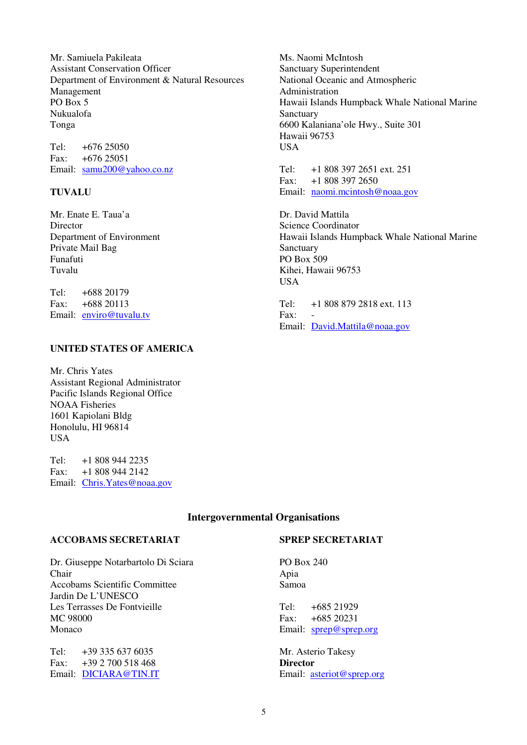Mr. Samiuela Pakileata Assistant Conservation Officer Department of Environment & Natural Resources Management PO Box 5 Nukualofa Tonga

Tel: +676 25050 Fax: +676 25051 Email: samu200@yahoo.co.nz

#### **TUVALU**

Mr. Enate E. Taua'a Director Department of Environment Private Mail Bag Funafuti Tuvalu

Tel: +688 20179 Fax: +688 20113 Email: enviro@tuvalu.tv

#### **UNITED STATES OF AMERICA**

Mr. Chris Yates Assistant Regional Administrator Pacific Islands Regional Office NOAA Fisheries 1601 Kapiolani Bldg Honolulu, HI 96814 **IISA** 

Tel: +1 808 944 2235 Fax: +1 808 944 2142 Email: Chris.Yates@noaa.gov Ms. Naomi McIntosh Sanctuary Superintendent National Oceanic and Atmospheric Administration Hawaii Islands Humpback Whale National Marine Sanctuary 6600 Kalaniana'ole Hwy., Suite 301 Hawaii 96753 **USA** 

Tel: +1 808 397 2651 ext. 251 Fax: +1 808 397 2650 Email: naomi.mcintosh@noaa.gov

Dr. David Mattila Science Coordinator Hawaii Islands Humpback Whale National Marine Sanctuary PO Box 509 Kihei, Hawaii 96753 **USA** 

Tel: +1 808 879 2818 ext. 113 Fax: Email: David.Mattila@noaa.gov

#### **Intergovernmental Organisations**

#### **ACCOBAMS SECRETARIAT**

Dr. Giuseppe Notarbartolo Di Sciara Chair Accobams Scientific Committee Jardin De L'UNESCO Les Terrasses De Fontvieille MC 98000 Monaco

Tel: +39 335 637 6035 Fax: +39 2 700 518 468 Email: DICIARA@TIN.IT

#### **SPREP SECRETARIAT**

PO Box 240 Apia Samoa

Tel:  $+685\,21929$ Fax: +685 20231 Email: sprep@sprep.org

Mr. Asterio Takesy **Director**  Email: asteriot@sprep.org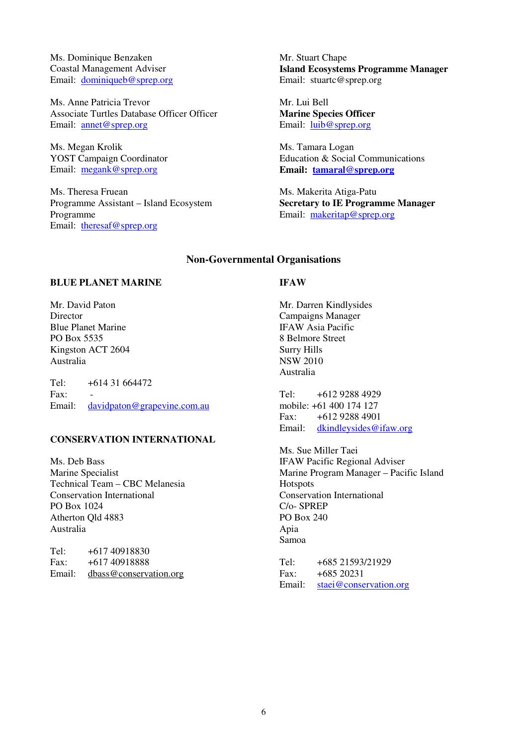Ms. Dominique Benzaken Coastal Management Adviser Email: dominiqueb@sprep.org

Ms. Anne Patricia Trevor Associate Turtles Database Officer Officer Email: annet@sprep.org

Ms. Megan Krolik YOST Campaign Coordinator Email: megank@sprep.org

Ms. Theresa Fruean Programme Assistant – Island Ecosystem Programme Email: theresaf@sprep.org

Mr. Stuart Chape **Island Ecosystems Programme Manager**  Email: stuartc@sprep.org

Mr. Lui Bell **Marine Species Officer**  Email: luib@sprep.org

Ms. Tamara Logan Education & Social Communications **Email: tamaral@sprep.org**

Ms. Makerita Atiga-Patu **Secretary to IE Programme Manager**  Email: makeritap@sprep.org

#### **Non-Governmental Organisations**

#### **BLUE PLANET MARINE**

Mr. David Paton Director Blue Planet Marine PO Box 5535 Kingston ACT 2604 Australia

Tel: +614 31 664472  $Fax$ Email: davidpaton@grapevine.com.au

#### **CONSERVATION INTERNATIONAL**

Ms. Deb Bass Marine Specialist Technical Team – CBC Melanesia Conservation International PO Box 1024 Atherton Qld 4883 Australia

Tel: +617 40918830 Fax: +617 40918888 Email: dbass@conservation.org

#### **IFAW**

Mr. Darren Kindlysides Campaigns Manager IFAW Asia Pacific 8 Belmore Street Surry Hills NSW 2010 Australia

Tel: +612 9288 4929 mobile: +61 400 174 127 Fax: +612 9288 4901 Email: dkindleysides@ifaw.org

Ms. Sue Miller Taei IFAW Pacific Regional Adviser Marine Program Manager – Pacific Island **Hotspots** Conservation International C/o- SPREP PO Box 240 Apia Samoa

Tel: +685 21593/21929 Fax: +685 20231 Email: staei@conservation.org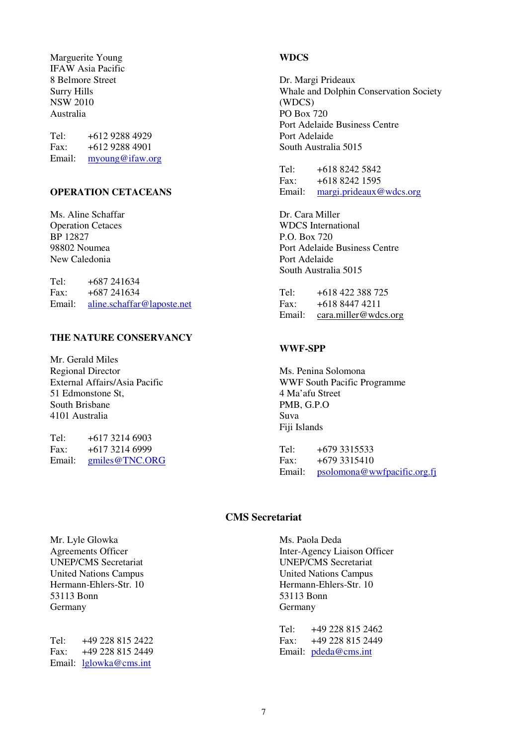Marguerite Young IFAW Asia Pacific 8 Belmore Street Surry Hills NSW 2010 Australia

Tel: +612 9288 4929 Fax: +612 9288 4901 Email: myoung@ifaw.org

#### **OPERATION CETACEANS**

Ms. Aline Schaffar Operation Cetaces BP 12827 98802 Noumea New Caledonia

Tel:  $+687,241634$ Fax: +687 241634 Email: aline.schaffar@laposte.net

#### **THE NATURE CONSERVANCY**

Mr. Gerald Miles Regional Director External Affairs/Asia Pacific 51 Edmonstone St, South Brisbane 4101 Australia

Tel: +617 3214 6903 Fax: +617 3214 6999 Email: gmiles@TNC.ORG

#### **WDCS**

Dr. Margi Prideaux Whale and Dolphin Conservation Society (WDCS) PO Box 720 Port Adelaide Business Centre Port Adelaide South Australia 5015

Tel: +618 8242 5842 Fax: +618 8242 1595 Email: margi.prideaux@wdcs.org

Dr. Cara Miller WDCS International P.O. Box 720 Port Adelaide Business Centre Port Adelaide South Australia 5015

| Tel:   | +618 422 388 725     |
|--------|----------------------|
| Fax:   | +618 8447 4211       |
| Email: | cara.miller@wdcs.org |

#### **WWF-SPP**

Ms. Penina Solomona WWF South Pacific Programme 4 Ma'afu Street PMB, G.P.O Suva Fiji Islands

Tel: +679 3315533 Fax: +679 3315410 Email: psolomona@wwfpacific.org.fj

#### **CMS Secretariat**

Mr. Lyle Glowka Agreements Officer UNEP/CMS Secretariat United Nations Campus Hermann-Ehlers-Str. 10 53113 Bonn Germany

Tel: +49 228 815 2422 Fax: +49 228 815 2449 Email: lglowka@cms.int

Ms. Paola Deda Inter-Agency Liaison Officer UNEP/CMS Secretariat United Nations Campus Hermann-Ehlers-Str. 10 53113 Bonn Germany

Tel: +49 228 815 2462 Fax: +49 228 815 2449 Email: pdeda@cms.int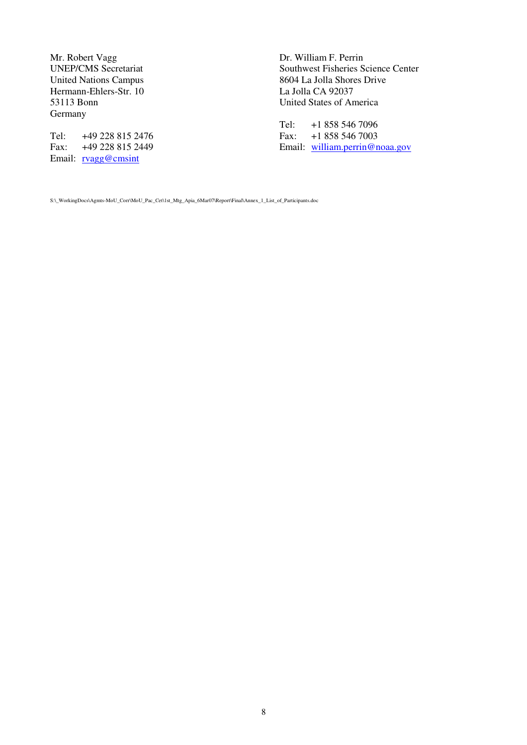Mr. Robert Vagg UNEP/CMS Secretariat United Nations Campus Hermann-Ehlers-Str. 10 53113 Bonn Germany

Tel: +49 228 815 2476 Fax: +49 228 815 2449 Email: rvagg@cmsint

Dr. William F. Perrin Southwest Fisheries Science Center 8604 La Jolla Shores Drive La Jolla CA 92037 United States of America

Tel: +1 858 546 7096<br>Fax: +1 858 546 7003 +1 858 546 7003 Email: william.perrin@noaa.gov

S:\\_WorkingDocs\Agmts-MoU\_Corr\MoU\_Pac\_Cet\1st\_Mtg\_Apia\_6Mar07\Report\Final\Annex\_1\_List\_of\_Participants.doc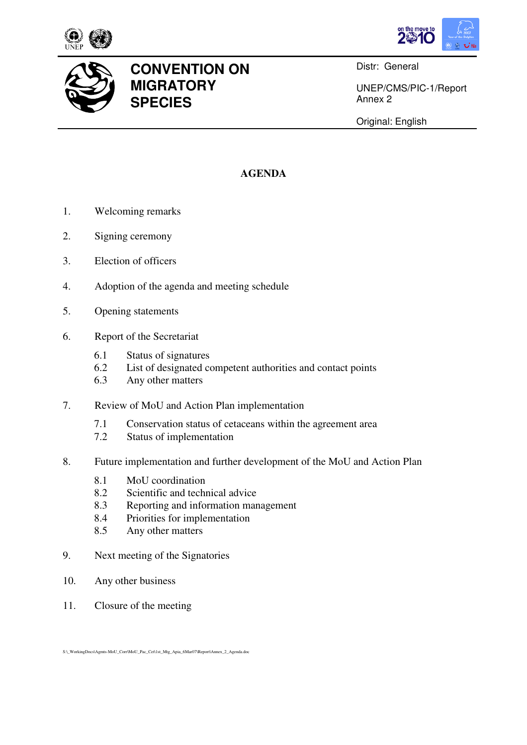





## **CONVENTION ON MIGRATORY SPECIES**

Distr: General

UNEP/CMS/PIC-1/Report Annex 2

Original: English

## **AGENDA**

- 1. Welcoming remarks
- 2. Signing ceremony
- 3. Election of officers
- 4. Adoption of the agenda and meeting schedule
- 5. Opening statements
- 6. Report of the Secretariat
	- 6.1 Status of signatures
	- 6.2 List of designated competent authorities and contact points
	- 6.3 Any other matters
- 7. Review of MoU and Action Plan implementation
	- 7.1 Conservation status of cetaceans within the agreement area
	- 7.2 Status of implementation
- 8. Future implementation and further development of the MoU and Action Plan
	- 8.1 MoU coordination
	- 8.2 Scientific and technical advice
	- 8.3 Reporting and information management
	- 8.4 Priorities for implementation
	- 8.5 Any other matters
- 9. Next meeting of the Signatories
- 10. Any other business
- 11. Closure of the meeting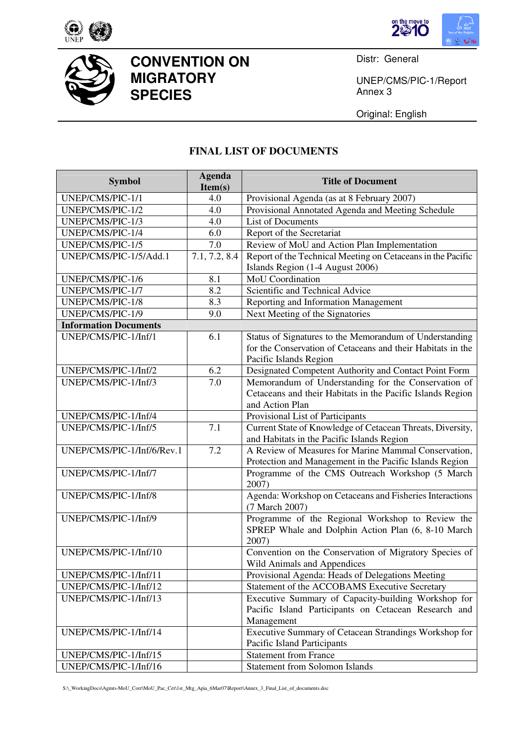





## **CONVENTION ON MIGRATORY SPECIES**

Distr: General

UNEP/CMS/PIC-1/Report Annex 3

Original: English

## **FINAL LIST OF DOCUMENTS**

| <b>Symbol</b>                | <b>Agenda</b><br>Item(s) | <b>Title of Document</b>                                                                                                                         |  |  |
|------------------------------|--------------------------|--------------------------------------------------------------------------------------------------------------------------------------------------|--|--|
| UNEP/CMS/PIC-1/1             | 4.0                      | Provisional Agenda (as at 8 February 2007)                                                                                                       |  |  |
| UNEP/CMS/PIC-1/2             | 4.0                      | Provisional Annotated Agenda and Meeting Schedule                                                                                                |  |  |
| UNEP/CMS/PIC-1/3             | 4.0                      | <b>List of Documents</b>                                                                                                                         |  |  |
| UNEP/CMS/PIC-1/4             | 6.0                      | Report of the Secretariat                                                                                                                        |  |  |
| UNEP/CMS/PIC-1/5             | 7.0                      | Review of MoU and Action Plan Implementation                                                                                                     |  |  |
| UNEP/CMS/PIC-1/5/Add.1       | 7.1, 7.2, 8.4            | Report of the Technical Meeting on Cetaceans in the Pacific<br>Islands Region (1-4 August 2006)                                                  |  |  |
| UNEP/CMS/PIC-1/6             | 8.1                      | MoU Coordination                                                                                                                                 |  |  |
| UNEP/CMS/PIC-1/7             | 8.2                      | Scientific and Technical Advice                                                                                                                  |  |  |
| UNEP/CMS/PIC-1/8             | 8.3                      | Reporting and Information Management                                                                                                             |  |  |
| UNEP/CMS/PIC-1/9             | 9.0                      | Next Meeting of the Signatories                                                                                                                  |  |  |
| <b>Information Documents</b> |                          |                                                                                                                                                  |  |  |
| UNEP/CMS/PIC-1/Inf/1         | 6.1                      | Status of Signatures to the Memorandum of Understanding<br>for the Conservation of Cetaceans and their Habitats in the<br>Pacific Islands Region |  |  |
| UNEP/CMS/PIC-1/Inf/2         | 6.2                      | Designated Competent Authority and Contact Point Form                                                                                            |  |  |
| UNEP/CMS/PIC-1/Inf/3         | 7.0                      | Memorandum of Understanding for the Conservation of<br>Cetaceans and their Habitats in the Pacific Islands Region<br>and Action Plan             |  |  |
| UNEP/CMS/PIC-1/Inf/4         |                          | Provisional List of Participants                                                                                                                 |  |  |
| UNEP/CMS/PIC-1/Inf/5         | 7.1                      | Current State of Knowledge of Cetacean Threats, Diversity,<br>and Habitats in the Pacific Islands Region                                         |  |  |
| UNEP/CMS/PIC-1/Inf/6/Rev.1   | 7.2                      | A Review of Measures for Marine Mammal Conservation,<br>Protection and Management in the Pacific Islands Region                                  |  |  |
| UNEP/CMS/PIC-1/Inf/7         |                          | Programme of the CMS Outreach Workshop (5 March<br>2007)                                                                                         |  |  |
| UNEP/CMS/PIC-1/Inf/8         |                          | Agenda: Workshop on Cetaceans and Fisheries Interactions<br>(7 March 2007)                                                                       |  |  |
| UNEP/CMS/PIC-1/Inf/9         |                          | Programme of the Regional Workshop to Review the<br>SPREP Whale and Dolphin Action Plan (6, 8-10 March<br>2007)                                  |  |  |
| UNEP/CMS/PIC-1/Inf/10        |                          | Convention on the Conservation of Migratory Species of<br>Wild Animals and Appendices                                                            |  |  |
| UNEP/CMS/PIC-1/Inf/11        |                          | Provisional Agenda: Heads of Delegations Meeting                                                                                                 |  |  |
| UNEP/CMS/PIC-1/Inf/12        |                          | Statement of the ACCOBAMS Executive Secretary                                                                                                    |  |  |
| UNEP/CMS/PIC-1/Inf/13        |                          | Executive Summary of Capacity-building Workshop for<br>Pacific Island Participants on Cetacean Research and<br>Management                        |  |  |
| UNEP/CMS/PIC-1/Inf/14        |                          | Executive Summary of Cetacean Strandings Workshop for<br>Pacific Island Participants                                                             |  |  |
| UNEP/CMS/PIC-1/Inf/15        |                          | <b>Statement from France</b>                                                                                                                     |  |  |
| UNEP/CMS/PIC-1/Inf/16        |                          | <b>Statement from Solomon Islands</b>                                                                                                            |  |  |

S:\\_WorkingDocs\Agmts-MoU\_Corr\MoU\_Pac\_Cet\1st\_Mtg\_Apia\_6Mar07\Report\Annex\_3\_Final\_List\_of\_documents.doc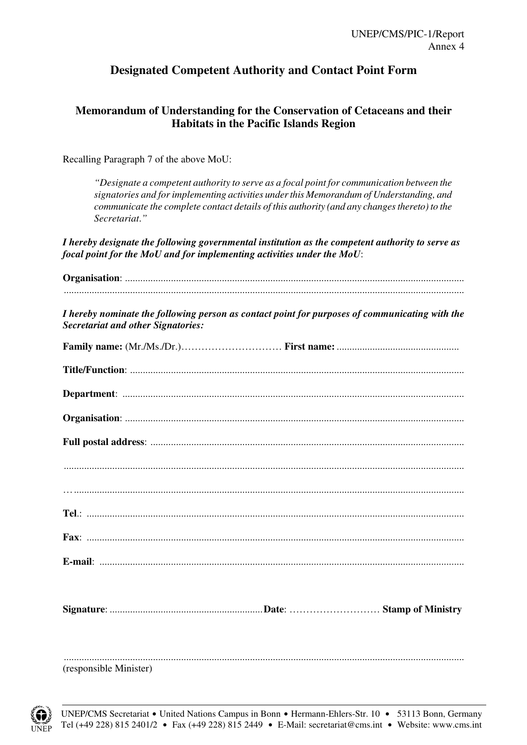## **Designated Competent Authority and Contact Point Form**

## **Memorandum of Understanding for the Conservation of Cetaceans and their Habitats in the Pacific Islands Region**

Recalling Paragraph 7 of the above MoU:

*"Designate a competent authority to serve as a focal point for communication between the signatories and for implementing activities under this Memorandum of Understanding, and communicate the complete contact details of this authority (and any changes thereto) to the Secretariat*.*"* 

*I hereby designate the following governmental institution as the competent authority to serve as focal point for the MoU and for implementing activities under the MoU*:

| I hereby nominate the following person as contact point for purposes of communicating with the<br><b>Secretariat and other Signatories:</b> |
|---------------------------------------------------------------------------------------------------------------------------------------------|
|                                                                                                                                             |
|                                                                                                                                             |
|                                                                                                                                             |
|                                                                                                                                             |
|                                                                                                                                             |
|                                                                                                                                             |
|                                                                                                                                             |
|                                                                                                                                             |
|                                                                                                                                             |
|                                                                                                                                             |
|                                                                                                                                             |
|                                                                                                                                             |
|                                                                                                                                             |
|                                                                                                                                             |
| (responsible Minister)                                                                                                                      |

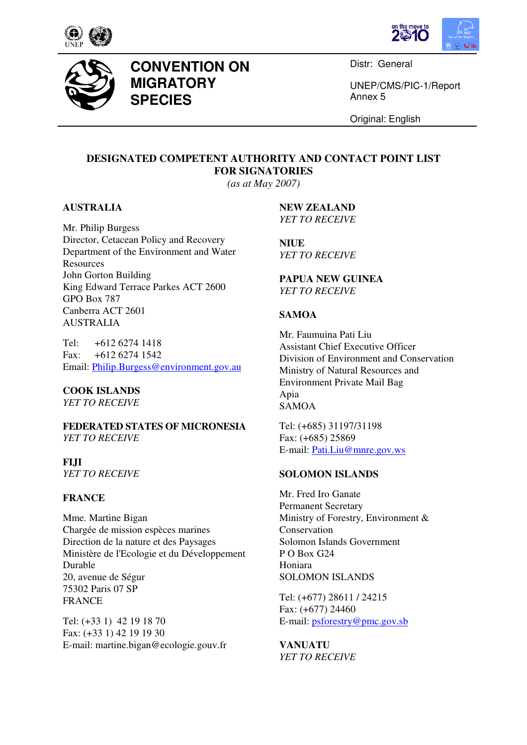





## **CONVENTION ON MIGRATORY SPECIES**

Distr: General

UNEP/CMS/PIC-1/Report Annex 5

Original: English

## **DESIGNATED COMPETENT AUTHORITY AND CONTACT POINT LIST FOR SIGNATORIES**

*(as at May 2007)*

#### **AUSTRALIA**

Mr. Philip Burgess Director, Cetacean Policy and Recovery Department of the Environment and Water Resources John Gorton Building King Edward Terrace Parkes ACT 2600 GPO Box 787 Canberra ACT 2601 AUSTRALIA

Tel: +612 6274 1418 Fax: +612 6274 1542 Email: Philip.Burgess@environment.gov.au

#### **COOK ISLANDS**

*YET TO RECEIVE* 

**FEDERATED STATES OF MICRONESIA**  *YET TO RECEIVE*

**FIJI**  *YET TO RECEIVE* 

#### **FRANCE**

Mme. Martine Bigan Chargée de mission espèces marines Direction de la nature et des Paysages Ministère de l'Ecologie et du Développement Durable 20, avenue de Ségur 75302 Paris 07 SP FRANCE

Tel: (+33 1) 42 19 18 70 Fax: (+33 1) 42 19 19 30 E-mail: martine.bigan@ecologie.gouv.fr **NEW ZEALAND**  *YET TO RECEIVE*

**NIUE**  *YET TO RECEIVE*

#### **PAPUA NEW GUINEA**  *YET TO RECEIVE*

#### **SAMOA**

Mr. Faumuina Pati Liu Assistant Chief Executive Officer Division of Environment and Conservation Ministry of Natural Resources and Environment Private Mail Bag Apia SAMOA

Tel: (+685) 31197/31198 Fax: (+685) 25869 E-mail: Pati.Liu@mnre.gov.ws

#### **SOLOMON ISLANDS**

Mr. Fred Iro Ganate Permanent Secretary Ministry of Forestry, Environment & Conservation Solomon Islands Government P O Box G24 Honiara SOLOMON ISLANDS

Tel: (+677) 28611 / 24215 Fax: (+677) 24460 E-mail: psforestry@pmc.gov.sb

**VANUATU**  *YET TO RECEIVE*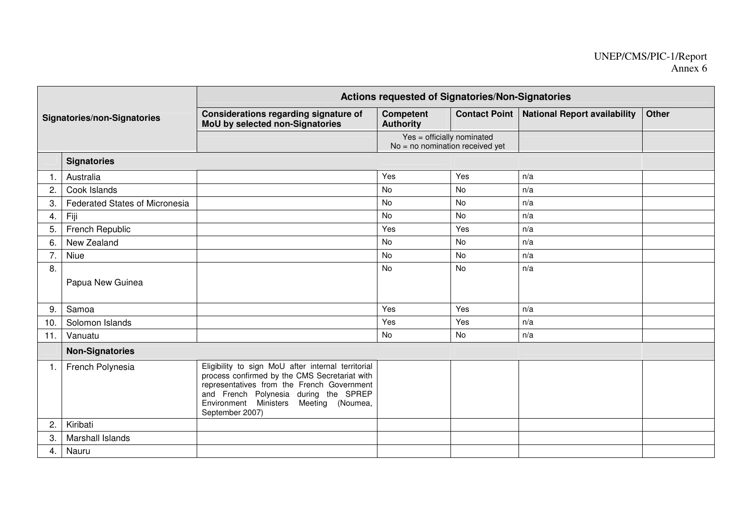# UNEP/CMS/PIC-1/Report Annex 6

| <b>Signatories/non-Signatories</b> |                                | Actions requested of Signatories/Non-Signatories                                                                                                                                                                                                              |                                                                 |           |                                              |              |  |
|------------------------------------|--------------------------------|---------------------------------------------------------------------------------------------------------------------------------------------------------------------------------------------------------------------------------------------------------------|-----------------------------------------------------------------|-----------|----------------------------------------------|--------------|--|
|                                    |                                | Considerations regarding signature of<br>MoU by selected non-Signatories                                                                                                                                                                                      | <b>Competent</b><br><b>Authority</b>                            |           | Contact Point   National Report availability | <b>Other</b> |  |
|                                    |                                |                                                                                                                                                                                                                                                               | Yes = officially nominated<br>$No = no$ nomination received yet |           |                                              |              |  |
|                                    | <b>Signatories</b>             |                                                                                                                                                                                                                                                               |                                                                 |           |                                              |              |  |
| 1.                                 | Australia                      |                                                                                                                                                                                                                                                               | Yes                                                             | Yes       | n/a                                          |              |  |
| 2.                                 | Cook Islands                   |                                                                                                                                                                                                                                                               | <b>No</b>                                                       | <b>No</b> | n/a                                          |              |  |
| 3.                                 | Federated States of Micronesia |                                                                                                                                                                                                                                                               | No                                                              | No        | n/a                                          |              |  |
| 4.                                 | Fiji                           |                                                                                                                                                                                                                                                               | No                                                              | No        | n/a                                          |              |  |
| 5.                                 | French Republic                |                                                                                                                                                                                                                                                               | Yes                                                             | Yes       | n/a                                          |              |  |
| 6.                                 | New Zealand                    |                                                                                                                                                                                                                                                               | <b>No</b>                                                       | <b>No</b> | n/a                                          |              |  |
| 7.                                 | Niue                           |                                                                                                                                                                                                                                                               | <b>No</b>                                                       | No        | n/a                                          |              |  |
| 8.                                 |                                |                                                                                                                                                                                                                                                               | No                                                              | No        | n/a                                          |              |  |
|                                    | Papua New Guinea               |                                                                                                                                                                                                                                                               |                                                                 |           |                                              |              |  |
| 9.                                 | Samoa                          |                                                                                                                                                                                                                                                               | Yes                                                             | Yes       | n/a                                          |              |  |
| 10.                                | Solomon Islands                |                                                                                                                                                                                                                                                               | Yes                                                             | Yes       | n/a                                          |              |  |
| 11.                                | Vanuatu                        |                                                                                                                                                                                                                                                               | No                                                              | No        | n/a                                          |              |  |
|                                    | <b>Non-Signatories</b>         |                                                                                                                                                                                                                                                               |                                                                 |           |                                              |              |  |
| $\overline{1}$ .                   | French Polynesia               | Eligibility to sign MoU after internal territorial<br>process confirmed by the CMS Secretariat with<br>representatives from the French Government<br>and French Polynesia during the SPREP<br>Environment Ministers<br>Meeting<br>(Noumea,<br>September 2007) |                                                                 |           |                                              |              |  |
| 2.                                 | Kiribati                       |                                                                                                                                                                                                                                                               |                                                                 |           |                                              |              |  |
| 3.                                 | Marshall Islands               |                                                                                                                                                                                                                                                               |                                                                 |           |                                              |              |  |
| 4.                                 | Nauru                          |                                                                                                                                                                                                                                                               |                                                                 |           |                                              |              |  |